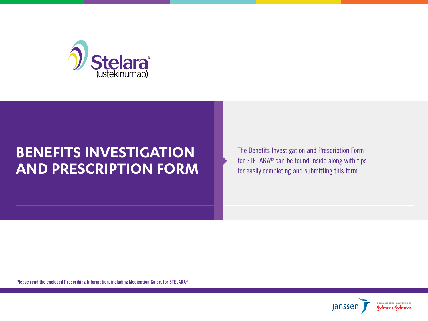

# **BENEFITS INVESTIGATION AND PRESCRIPTION FORM**

The Benefits Investigation and Prescription Form for STELARA® can be found inside along with tips for easily completing and submitting this form

Please read the enclosed [Prescribing Information,](http://www.janssenlabels.com/package-insert/product-monograph/prescribing-information/STELARA-pi.pdf) including [Medication Guide,](http://www.janssenlabels.com/package-insert/product-patient-information/STELARA-medication-guide.pdf) for STELARA®.